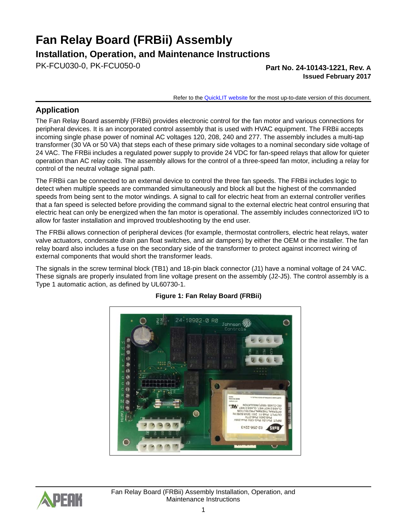# **Fan Relay Board (FRBii) Assembly**

### **Installation, Operation, and Maintenance Instructions**

PK-FCU030-0, PK-FCU050-0 **Part No. 24-10143-1221, Rev. A**

**Issued February 2017**

Refer to the [QuickLIT website](http://cgproducts.johnsoncontrols.com/default.aspx) for the most up-to-date version of this document.

### **Application**

The Fan Relay Board assembly (FRBii) provides electronic control for the fan motor and various connections for peripheral devices. It is an incorporated control assembly that is used with HVAC equipment. The FRBii accepts incoming single phase power of nominal AC voltages 120, 208, 240 and 277. The assembly includes a multi-tap transformer (30 VA or 50 VA) that steps each of these primary side voltages to a nominal secondary side voltage of 24 VAC. The FRBii includes a regulated power supply to provide 24 VDC for fan-speed relays that allow for quieter operation than AC relay coils. The assembly allows for the control of a three-speed fan motor, including a relay for control of the neutral voltage signal path.

The FRBii can be connected to an external device to control the three fan speeds. The FRBii includes logic to detect when multiple speeds are commanded simultaneously and block all but the highest of the commanded speeds from being sent to the motor windings. A signal to call for electric heat from an external controller verifies that a fan speed is selected before providing the command signal to the external electric heat control ensuring that electric heat can only be energized when the fan motor is operational. The assembly includes connectorized I/O to allow for faster installation and improved troubleshooting by the end user.

The FRBii allows connection of peripheral devices (for example, thermostat controllers, electric heat relays, water valve actuators, condensate drain pan float switches, and air dampers) by either the OEM or the installer. The fan relay board also includes a fuse on the secondary side of the transformer to protect against incorrect wiring of external components that would short the transformer leads.

The signals in the screw terminal block (TB1) and 18-pin black connector (J1) have a nominal voltage of 24 VAC. These signals are properly insulated from line voltage present on the assembly (J2-J5). The control assembly is a Type 1 automatic action, as defined by UL60730-1.



#### **Figure 1: Fan Relay Board (FRBii)**

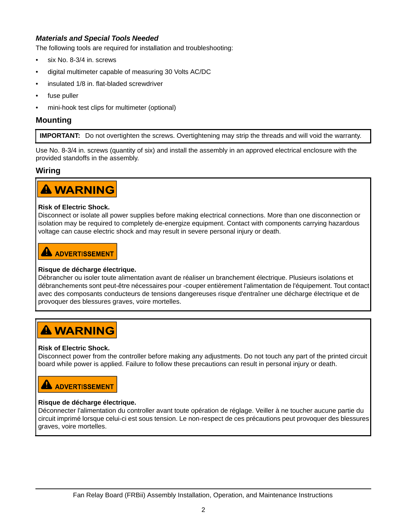#### *Materials and Special Tools Needed*

The following tools are required for installation and troubleshooting:

- six No. 8-3/4 in. screws
- digital multimeter capable of measuring 30 Volts AC/DC
- insulated 1/8 in. flat-bladed screwdriver
- fuse puller
- mini-hook test clips for multimeter (optional)

### **Mounting**

**IMPORTANT:** Do not overtighten the screws. Overtightening may strip the threads and will void the warranty.

Use No. 8-3/4 in. screws (quantity of six) and install the assembly in an approved electrical enclosure with the provided standoffs in the assembly.

#### **Wiring**



#### **Risk of Electric Shock.**

Disconnect or isolate all power supplies before making electrical connections. More than one disconnection or isolation may be required to completely de-energize equipment. Contact with components carrying hazardous voltage can cause electric shock and may result in severe personal injury or death.

## **A ADVERTISSEMENT**

#### **Risque de décharge électrique.**

Débrancher ou isoler toute alimentation avant de réaliser un branchement électrique. Plusieurs isolations et débranchements sont peut-être nécessaires pour -couper entièrement l'alimentation de l'équipement. Tout contact avec des composants conducteurs de tensions dangereuses risque d'entraîner une décharge électrique et de provoquer des blessures graves, voire mortelles.

# **A WARNING**

#### **Risk of Electric Shock.**

Disconnect power from the controller before making any adjustments. Do not touch any part of the printed circuit board while power is applied. Failure to follow these precautions can result in personal injury or death.

# **A** ADVERTISSEMENT

#### **Risque de décharge électrique.**

Déconnecter l'alimentation du controller avant toute opération de réglage. Veiller à ne toucher aucune partie du circuit imprimé lorsque celui-ci est sous tension. Le non-respect de ces précautions peut provoquer des blessures graves, voire mortelles.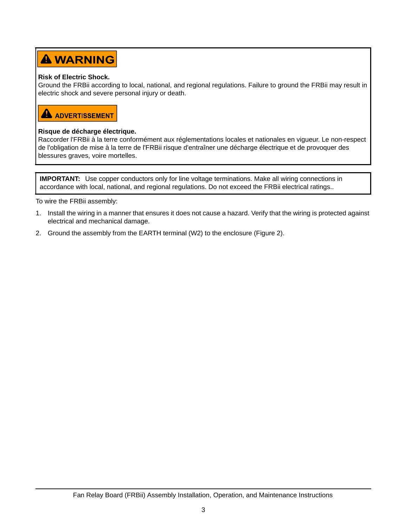# **A WARNING**

#### **Risk of Electric Shock.**

Ground the FRBii according to local, national, and regional regulations. Failure to ground the FRBii may result in electric shock and severe personal injury or death.



#### **Risque de décharge électrique.**

Raccorder l'FRBii à la terre conformément aux réglementations locales et nationales en vigueur. Le non-respect de l'obligation de mise à la terre de l'FRBii risque d'entraîner une décharge électrique et de provoquer des blessures graves, voire mortelles.

**IMPORTANT:** Use copper conductors only for line voltage terminations. Make all wiring connections in accordance with local, national, and regional regulations. Do not exceed the FRBii electrical ratings..

To wire the FRBii assembly:

- 1. Install the wiring in a manner that ensures it does not cause a hazard. Verify that the wiring is protected against electrical and mechanical damage.
- 2. Ground the assembly from the EARTH terminal (W2) to the enclosure [\(Figure 2](#page-3-0)).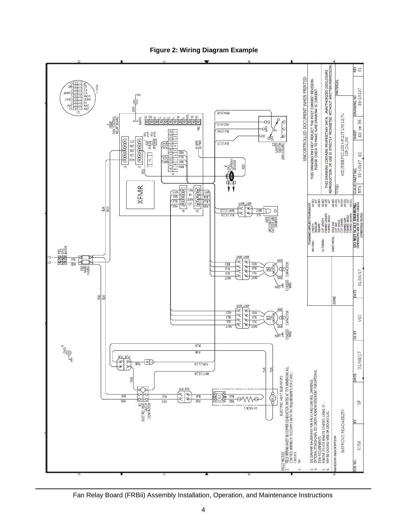<span id="page-3-0"></span>

**Figure 2: Wiring Diagram Example**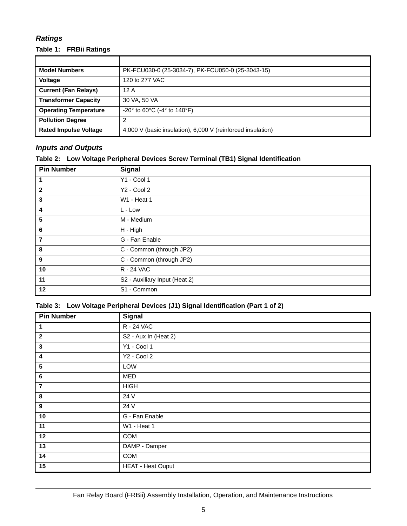### *Ratings*

#### **Table 1: FRBii Ratings**

| <b>Model Numbers</b>         | PK-FCU030-0 (25-3034-7), PK-FCU050-0 (25-3043-15)                    |  |  |
|------------------------------|----------------------------------------------------------------------|--|--|
| Voltage                      | 120 to 277 VAC                                                       |  |  |
| <b>Current (Fan Relays)</b>  | 12 A                                                                 |  |  |
| <b>Transformer Capacity</b>  | 30 VA, 50 VA                                                         |  |  |
| <b>Operating Temperature</b> | $-20^{\circ}$ to 60 $^{\circ}$ C (-4 $^{\circ}$ to 140 $^{\circ}$ F) |  |  |
| <b>Pollution Degree</b>      | 2                                                                    |  |  |
| <b>Rated Impulse Voltage</b> | 4,000 V (basic insulation), 6,000 V (reinforced insulation)          |  |  |

#### *Inputs and Outputs*

| <b>Pin Number</b>       | <b>Signal</b>                 |  |
|-------------------------|-------------------------------|--|
| 1                       | $Y1 - Cool 1$                 |  |
| $\mathbf{2}$            | Y2 - Cool 2                   |  |
| 3                       | W1 - Heat 1                   |  |
| 4                       | L - Low                       |  |
| 5                       | M - Medium                    |  |
| 6                       | H - High                      |  |
| $\overline{\mathbf{r}}$ | G - Fan Enable                |  |
| 8                       | C - Common (through JP2)      |  |
| 9                       | C - Common (through JP2)      |  |
| 10                      | R - 24 VAC                    |  |
| 11                      | S2 - Auxiliary Input (Heat 2) |  |
| 12                      | S1 - Common                   |  |

#### **Table 3: Low Voltage Peripheral Devices (J1) Signal Identification (Part 1 of 2)**

| <b>Pin Number</b>       | <b>Signal</b>            |  |  |
|-------------------------|--------------------------|--|--|
| $\mathbf{1}$            | R - 24 VAC               |  |  |
| $\overline{2}$          | S2 - Aux In (Heat 2)     |  |  |
| $\mathbf{3}$            | Y1 - Cool 1              |  |  |
| $\overline{\mathbf{4}}$ | Y2 - Cool 2              |  |  |
| $\sqrt{5}$              | LOW                      |  |  |
| $6\phantom{1}6$         | MED                      |  |  |
| $\overline{7}$          | <b>HIGH</b>              |  |  |
| 8                       | 24 V                     |  |  |
| $\boldsymbol{9}$        | 24 V                     |  |  |
| 10                      | G - Fan Enable           |  |  |
| 11                      | W1 - Heat 1              |  |  |
| 12                      | COM                      |  |  |
| 13                      | DAMP - Damper            |  |  |
| 14                      | COM                      |  |  |
| 15                      | <b>HEAT - Heat Ouput</b> |  |  |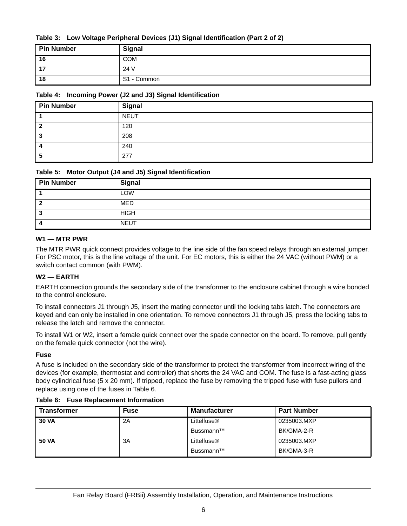#### **Table 3: Low Voltage Peripheral Devices (J1) Signal Identification (Part 2 of 2)**

| <b>Pin Number</b> | <b>Signal</b> |
|-------------------|---------------|
| 16                | COM           |
| .17               | 24 V          |
| 18                | S1 - Common   |

#### **Table 4: Incoming Power (J2 and J3) Signal Identification**

| <b>Pin Number</b> | <b>Signal</b> |
|-------------------|---------------|
|                   | <b>NEUT</b>   |
|                   | 120           |
|                   | 208           |
|                   | 240           |
|                   | 277           |

#### **Table 5: Motor Output (J4 and J5) Signal Identification**

| <b>Pin Number</b> | <b>Signal</b> |
|-------------------|---------------|
|                   | LOW           |
|                   | <b>MED</b>    |
| -3                | <b>HIGH</b>   |
|                   | NEUT          |

#### **W1 — MTR PWR**

The MTR PWR quick connect provides voltage to the line side of the fan speed relays through an external jumper. For PSC motor, this is the line voltage of the unit. For EC motors, this is either the 24 VAC (without PWM) or a switch contact common (with PWM).

#### **W2 — EARTH**

EARTH connection grounds the secondary side of the transformer to the enclosure cabinet through a wire bonded to the control enclosure.

To install connectors J1 through J5, insert the mating connector until the locking tabs latch. The connectors are keyed and can only be installed in one orientation. To remove connectors J1 through J5, press the locking tabs to release the latch and remove the connector.

To install W1 or W2, insert a female quick connect over the spade connector on the board. To remove, pull gently on the female quick connector (not the wire).

#### **Fuse**

A fuse is included on the secondary side of the transformer to protect the transformer from incorrect wiring of the devices (for example, thermostat and controller) that shorts the 24 VAC and COM. The fuse is a fast-acting glass body cylindrical fuse (5 x 20 mm). If tripped, replace the fuse by removing the tripped fuse with fuse pullers and replace using one of the fuses in [Table 6.](#page-5-0)

<span id="page-5-0"></span>

| <b>Transformer</b> | <b>Fuse</b> | <b>Manufacturer</b>     | <b>Part Number</b> |
|--------------------|-------------|-------------------------|--------------------|
| <b>30 VA</b>       | 2Α          | Littelfuse <sup>®</sup> | 0235003.MXP        |
|                    |             | Bussmann™               | BK/GMA-2-R         |
| 50 VA              | 3A          | Littelfuse <sup>®</sup> | 0235003.MXP        |
|                    |             | Bussmann™               | BK/GMA-3-R         |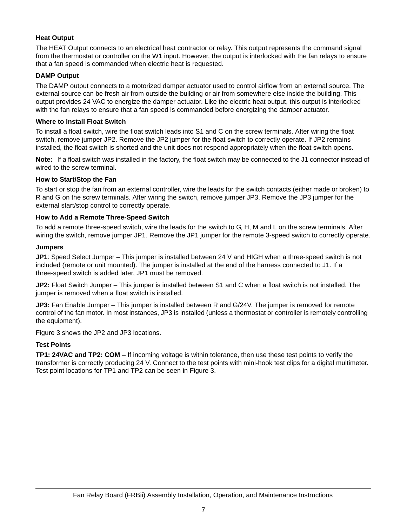#### **Heat Output**

The HEAT Output connects to an electrical heat contractor or relay. This output represents the command signal from the thermostat or controller on the W1 input. However, the output is interlocked with the fan relays to ensure that a fan speed is commanded when electric heat is requested.

#### **DAMP Output**

The DAMP output connects to a motorized damper actuator used to control airflow from an external source. The external source can be fresh air from outside the building or air from somewhere else inside the building. This output provides 24 VAC to energize the damper actuator. Like the electric heat output, this output is interlocked with the fan relays to ensure that a fan speed is commanded before energizing the damper actuator.

#### **Where to Install Float Switch**

To install a float switch, wire the float switch leads into S1 and C on the screw terminals. After wiring the float switch, remove jumper JP2. Remove the JP2 jumper for the float switch to correctly operate. If JP2 remains installed, the float switch is shorted and the unit does not respond appropriately when the float switch opens.

**Note:** If a float switch was installed in the factory, the float switch may be connected to the J1 connector instead of wired to the screw terminal.

#### **How to Start/Stop the Fan**

To start or stop the fan from an external controller, wire the leads for the switch contacts (either made or broken) to R and G on the screw terminals. After wiring the switch, remove jumper JP3. Remove the JP3 jumper for the external start/stop control to correctly operate.

#### **How to Add a Remote Three-Speed Switch**

To add a remote three-speed switch, wire the leads for the switch to G, H, M and L on the screw terminals. After wiring the switch, remove jumper JP1. Remove the JP1 jumper for the remote 3-speed switch to correctly operate.

#### **Jumpers**

**JP1**: Speed Select Jumper – This jumper is installed between 24 V and HIGH when a three-speed switch is not included (remote or unit mounted). The jumper is installed at the end of the harness connected to J1. If a three-speed switch is added later, JP1 must be removed.

**JP2:** Float Switch Jumper – This jumper is installed between S1 and C when a float switch is not installed. The jumper is removed when a float switch is installed.

**JP3:** Fan Enable Jumper – This jumper is installed between R and G/24V. The jumper is removed for remote control of the fan motor. In most instances, JP3 is installed (unless a thermostat or controller is remotely controlling the equipment).

[Figure 3](#page-7-0) shows the JP2 and JP3 locations.

#### **Test Points**

**TP1: 24VAC and TP2: COM** – If incoming voltage is within tolerance, then use these test points to verify the transformer is correctly producing 24 V. Connect to the test points with mini-hook test clips for a digital multimeter. Test point locations for TP1 and TP2 can be seen in [Figure 3](#page-7-0).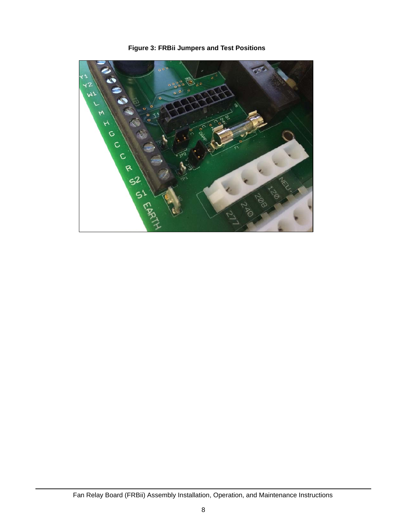<span id="page-7-0"></span>

**Figure 3: FRBii Jumpers and Test Positions**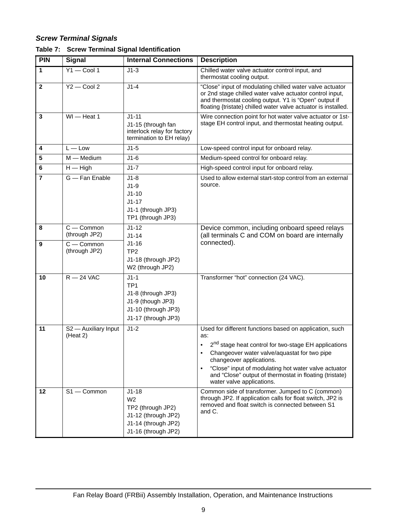### *Screw Terminal Signals*

| <b>PIN</b>              | <b>Signal</b>                    | <b>Internal Connections</b>                                                                                         | <b>Description</b>                                                                                                                                                                                                                                                                                                                                             |  |
|-------------------------|----------------------------------|---------------------------------------------------------------------------------------------------------------------|----------------------------------------------------------------------------------------------------------------------------------------------------------------------------------------------------------------------------------------------------------------------------------------------------------------------------------------------------------------|--|
| $\overline{1}$          | $Y1 - Cool 1$                    | $J1-3$                                                                                                              | Chilled water valve actuator control input, and<br>thermostat cooling output.                                                                                                                                                                                                                                                                                  |  |
| $\overline{2}$          | $Y2 - Cool 2$                    | $J1-4$                                                                                                              | "Close" input of modulating chilled water valve actuator<br>or 2nd stage chilled water valve actuator control input,<br>and thermostat cooling output. Y1 is "Open" output if<br>floating {tristate} chilled water valve actuator is installed.                                                                                                                |  |
| $\overline{\mathbf{3}}$ | $WI$ $-$ Heat 1                  | $J1 - 11$<br>J1-15 (through fan<br>interlock relay for factory<br>termination to EH relay)                          | Wire connection point for hot water valve actuator or 1st-<br>stage EH control input, and thermostat heating output.                                                                                                                                                                                                                                           |  |
| $\overline{\mathbf{4}}$ | $L - Low$                        | $J1-5$                                                                                                              | Low-speed control input for onboard relay.                                                                                                                                                                                                                                                                                                                     |  |
| $\overline{\mathbf{5}}$ | $M$ – Medium                     | $J1-6$                                                                                                              | Medium-speed control for onboard relay.                                                                                                                                                                                                                                                                                                                        |  |
| $6\phantom{a}$          | $H - H$ igh                      | $J1-7$                                                                                                              | High-speed control input for onboard relay.                                                                                                                                                                                                                                                                                                                    |  |
| $\overline{7}$          | G - Fan Enable                   | $J1-8$<br>$J1-9$<br>$J1-10$<br>$J1-17$<br>J1-1 (through JP3)<br>TP1 (through JP3)                                   | Used to allow external start-stop control from an external<br>source.                                                                                                                                                                                                                                                                                          |  |
| 8                       | $C -$ Common<br>(through JP2)    | $J1 - 12$<br>$J1 - 14$                                                                                              | Device common, including onboard speed relays<br>(all terminals C and COM on board are internally                                                                                                                                                                                                                                                              |  |
| $\boldsymbol{9}$        | $C -$ Common<br>(through JP2)    | $J1 - 16$<br>TP <sub>2</sub><br>J1-18 (through JP2)<br>W2 (through JP2)                                             | connected).                                                                                                                                                                                                                                                                                                                                                    |  |
| 10                      | $R - 24$ VAC                     | $J1-1$<br>TP <sub>1</sub><br>J1-8 (through JP3)<br>J1-9 (though JP3)<br>J1-10 (through JP3)<br>J1-17 (through JP3)  | Transformer "hot" connection (24 VAC).                                                                                                                                                                                                                                                                                                                         |  |
| 11                      | S2 - Auxiliary Input<br>(Heat 2) | $J1-2$                                                                                                              | Used for different functions based on application, such<br>as:<br>2 <sup>nd</sup> stage heat control for two-stage EH applications<br>Changeover water valve/aquastat for two pipe<br>changeover applications.<br>"Close" input of modulating hot water valve actuator<br>and "Close" output of thermostat in floating (tristate)<br>water valve applications. |  |
| 12                      | $S1 -$ Common                    | $J1-18$<br>W <sub>2</sub><br>TP2 (through JP2)<br>J1-12 (through JP2)<br>J1-14 (through JP2)<br>J1-16 (through JP2) | Common side of transformer. Jumped to C (common)<br>through JP2. If application calls for float switch, JP2 is<br>removed and float switch is connected between S1<br>and C.                                                                                                                                                                                   |  |

|  |  |  |  | Table 7: Screw Terminal Signal Identification |
|--|--|--|--|-----------------------------------------------|
|--|--|--|--|-----------------------------------------------|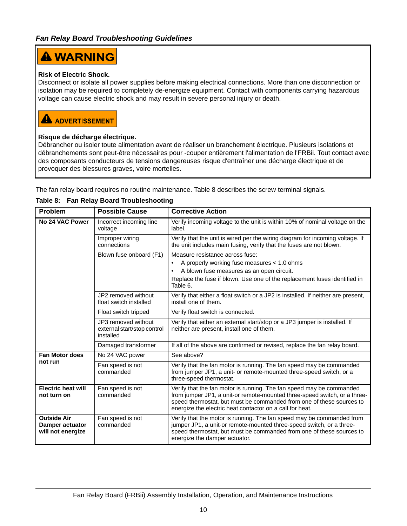## **A WARNING**

#### **Risk of Electric Shock.**

Disconnect or isolate all power supplies before making electrical connections. More than one disconnection or isolation may be required to completely de-energize equipment. Contact with components carrying hazardous voltage can cause electric shock and may result in severe personal injury or death.

### **A** ADVERTISSEMENT

#### **Risque de décharge électrique.**

Débrancher ou isoler toute alimentation avant de réaliser un branchement électrique. Plusieurs isolations et débranchements sont peut-être nécessaires pour -couper entièrement l'alimentation de l'FRBii. Tout contact avec des composants conducteurs de tensions dangereuses risque d'entraîner une décharge électrique et de provoquer des blessures graves, voire mortelles.

The fan relay board requires no routine maintenance. [Table 8](#page-9-0) describes the screw terminal signals.

| Problem                                                    | <b>Possible Cause</b>                                           | <b>Corrective Action</b>                                                                                                                                                                                                                                                              |
|------------------------------------------------------------|-----------------------------------------------------------------|---------------------------------------------------------------------------------------------------------------------------------------------------------------------------------------------------------------------------------------------------------------------------------------|
| No 24 VAC Power                                            | Incorrect incoming line<br>voltage                              | Verify incoming voltage to the unit is within 10% of nominal voltage on the<br>label.                                                                                                                                                                                                 |
|                                                            | Improper wiring<br>connections                                  | Verify that the unit is wired per the wiring diagram for incoming voltage. If<br>the unit includes main fusing, verify that the fuses are not blown.                                                                                                                                  |
|                                                            | Blown fuse onboard (F1)                                         | Measure resistance across fuse:                                                                                                                                                                                                                                                       |
|                                                            |                                                                 | A properly working fuse measures < 1.0 ohms<br>٠                                                                                                                                                                                                                                      |
|                                                            |                                                                 | A blown fuse measures as an open circuit.<br>٠                                                                                                                                                                                                                                        |
|                                                            |                                                                 | Replace the fuse if blown. Use one of the replacement fuses identified in<br>Table 6.                                                                                                                                                                                                 |
|                                                            | JP2 removed without<br>float switch installed                   | Verify that either a float switch or a JP2 is installed. If neither are present,<br>install one of them.                                                                                                                                                                              |
|                                                            | Float switch tripped                                            | Verify float switch is connected.                                                                                                                                                                                                                                                     |
|                                                            | JP3 removed without<br>external start/stop control<br>installed | Verify that either an external start/stop or a JP3 jumper is installed. If<br>neither are present, install one of them.                                                                                                                                                               |
|                                                            | Damaged transformer                                             | If all of the above are confirmed or revised, replace the fan relay board.                                                                                                                                                                                                            |
| <b>Fan Motor does</b>                                      | No 24 VAC power                                                 | See above?                                                                                                                                                                                                                                                                            |
| not run                                                    | Fan speed is not<br>commanded                                   | Verify that the fan motor is running. The fan speed may be commanded<br>from jumper JP1, a unit- or remote-mounted three-speed switch, or a<br>three-speed thermostat.                                                                                                                |
| <b>Electric heat will</b><br>not turn on                   | Fan speed is not<br>commanded                                   | Verify that the fan motor is running. The fan speed may be commanded<br>from jumper JP1, a unit-or remote-mounted three-speed switch, or a three-<br>speed thermostat, but must be commanded from one of these sources to<br>energize the electric heat contactor on a call for heat. |
| <b>Outside Air</b><br>Damper actuator<br>will not energize | Fan speed is not<br>commanded                                   | Verify that the motor is running. The fan speed may be commanded from<br>jumper JP1, a unit-or remote-mounted three-speed switch, or a three-<br>speed thermostat, but must be commanded from one of these sources to<br>energize the damper actuator.                                |

#### <span id="page-9-0"></span>**Table 8: Fan Relay Board Troubleshooting**